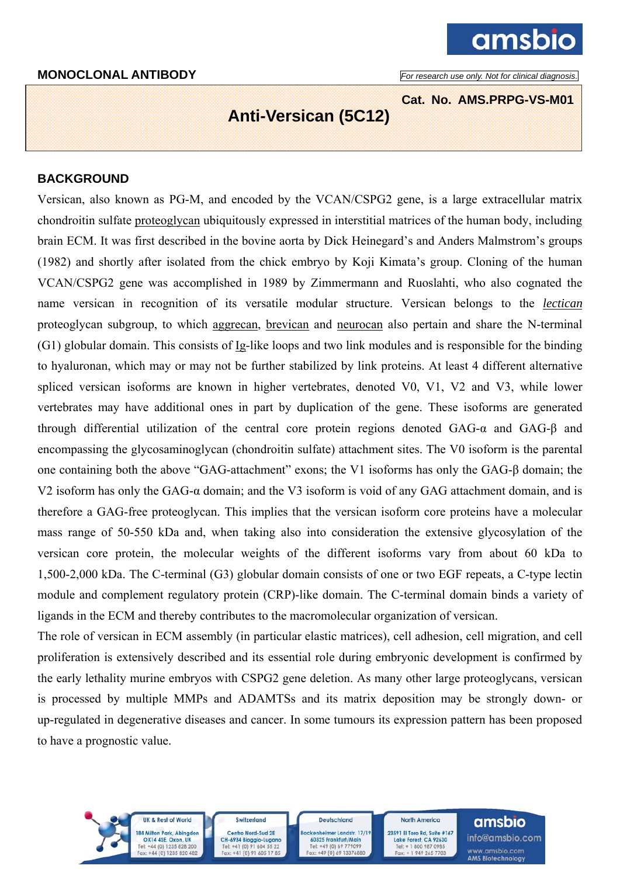## **MONOCLONAL ANTIBODY** *For research use only. Not for clinical diagnosis.*

amsbio

**Cat. No. AMS.PRPG-VS-M01**

# **Anti-Versican (5C12)**

## **BACKGROUND**

Versican, also known as PG-M, and encoded by the VCAN/CSPG2 gene, is a large extracellular matrix chondroitin sulfate proteoglycan ubiquitously expressed in interstitial matrices of the human body, including brain ECM. It was first described in the bovine aorta by Dick Heinegard's and Anders Malmstrom's groups (1982) and shortly after isolated from the chick embryo by Koji Kimata's group. Cloning of the human VCAN/CSPG2 gene was accomplished in 1989 by Zimmermann and Ruoslahti, who also cognated the name versican in recognition of its versatile modular structure. Versican belongs to the *lectican* proteoglycan subgroup, to which aggrecan, brevican and neurocan also pertain and share the N-terminal (G1) globular domain. This consists of Ig-like loops and two link modules and is responsible for the binding to hyaluronan, which may or may not be further stabilized by link proteins. At least 4 different alternative spliced versican isoforms are known in higher vertebrates, denoted V0, V1, V2 and V3, while lower vertebrates may have additional ones in part by duplication of the gene. These isoforms are generated through differential utilization of the central core protein regions denoted GAG-α and GAG-β and encompassing the glycosaminoglycan (chondroitin sulfate) attachment sites. The V0 isoform is the parental one containing both the above "GAG-attachment" exons; the V1 isoforms has only the GAG-β domain; the V2 isoform has only the GAG-α domain; and the V3 isoform is void of any GAG attachment domain, and is therefore a GAG-free proteoglycan. This implies that the versican isoform core proteins have a molecular mass range of 50-550 kDa and, when taking also into consideration the extensive glycosylation of the versican core protein, the molecular weights of the different isoforms vary from about 60 kDa to 1,500-2,000 kDa. The C-terminal (G3) globular domain consists of one or two EGF repeats, a C-type lectin module and complement regulatory protein (CRP)-like domain. The C-terminal domain binds a variety of ligands in the ECM and thereby contributes to the macromolecular organization of versican.

The role of versican in ECM assembly (in particular elastic matrices), cell adhesion, cell migration, and cell proliferation is extensively described and its essential role during embryonic development is confirmed by the early lethality murine embryos with CSPG2 gene deletion. As many other large proteoglycans, versican is processed by multiple MMPs and ADAMTSs and its matrix deposition may be strongly down- or up-regulated in degenerative diseases and cancer. In some tumours its expression pattern has been proposed to have a prognostic value.

Deutschland

Bockenheimer Landstr, 17/19

60325 Frankfurt/Main

Tel: +49 (0) 69 779099<br>Fax: +49 (0) 69 1337688

**North America** 

23591 El Toro Rd, Suite #167

Lake Forest, CA 92630

Tel: + 1 800 987 0985<br>Fax: + 1 949 265 7703

amsbio

www.amsbio.com<br>AMS Biotechnology

info@amsbio.com

UK & Rest of World

OX14 4SE, Oxon, UK

Tel: +44 (0) 1235 828 200<br>Fax: +44 (0) 1235 828 200

on Park, Abingdon

Switzerland

Centro Nord-Sud 2E

CH-6934 Bioggio-Lugano<br>Tel: +41 (0) 91 604 55 22<br>Fax: +41 (0) 91 605 17 85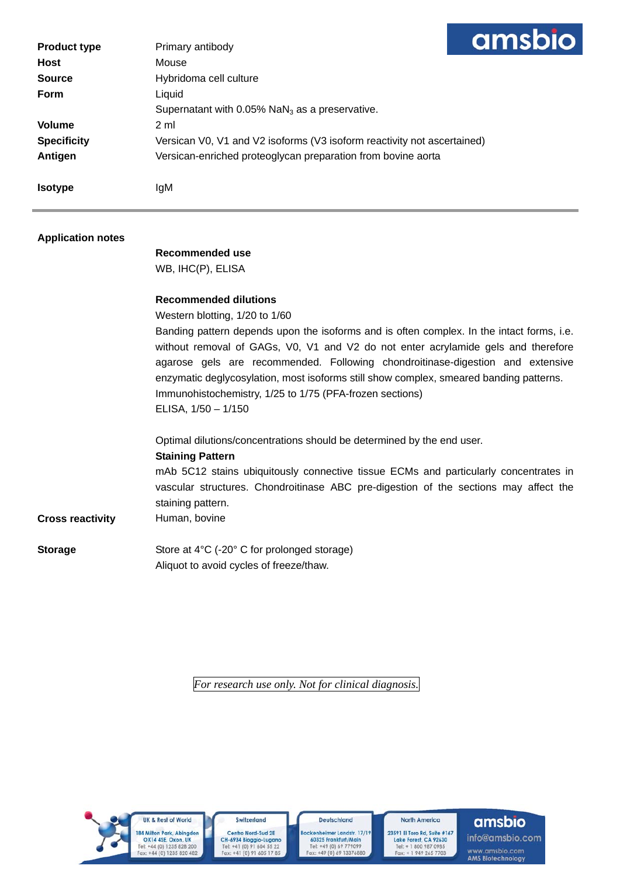| amsbio |
|--------|
|--------|

| <b>Product type</b> | Primary antibody                                                        |
|---------------------|-------------------------------------------------------------------------|
| <b>Host</b>         | Mouse                                                                   |
| <b>Source</b>       | Hybridoma cell culture                                                  |
| Form                | Liquid                                                                  |
|                     | Supernatant with $0.05\%$ NaN <sub>3</sub> as a preservative.           |
| <b>Volume</b>       | 2 ml                                                                    |
| <b>Specificity</b>  | Versican V0, V1 and V2 isoforms (V3 isoform reactivity not ascertained) |
| Antigen             | Versican-enriched proteoglycan preparation from bovine aorta            |
| <b>Isotype</b>      | lgM                                                                     |

## **Application notes**

 **Recommended use**  WB, IHC(P), ELISA

#### **Recommended dilutions**

|                         | Recommended and light                                                                                                                                                                                                                                                                                                                                      |
|-------------------------|------------------------------------------------------------------------------------------------------------------------------------------------------------------------------------------------------------------------------------------------------------------------------------------------------------------------------------------------------------|
|                         | Western blotting, 1/20 to 1/60                                                                                                                                                                                                                                                                                                                             |
|                         | Banding pattern depends upon the isoforms and is often complex. In the intact forms, i.e.<br>without removal of GAGs, V0, V1 and V2 do not enter acrylamide gels and therefore<br>agarose gels are recommended. Following chondroitinase-digestion and extensive<br>enzymatic deglycosylation, most isoforms still show complex, smeared banding patterns. |
|                         | Immunohistochemistry, 1/25 to 1/75 (PFA-frozen sections)                                                                                                                                                                                                                                                                                                   |
|                         | ELISA, $1/50 - 1/150$                                                                                                                                                                                                                                                                                                                                      |
|                         | Optimal dilutions/concentrations should be determined by the end user.<br><b>Staining Pattern</b>                                                                                                                                                                                                                                                          |
|                         | mAb 5C12 stains ubiquitously connective tissue ECMs and particularly concentrates in<br>vascular structures. Chondroitinase ABC pre-digestion of the sections may affect the<br>staining pattern.                                                                                                                                                          |
| <b>Cross reactivity</b> | Human, bovine                                                                                                                                                                                                                                                                                                                                              |
| Storage                 | Store at 4°C (-20° C for prolonged storage)                                                                                                                                                                                                                                                                                                                |
|                         | Aliquot to avoid cycles of freeze/thaw.                                                                                                                                                                                                                                                                                                                    |

*For research use only. Not for clinical diagnosis.* 



Switzerland Centro Nord-Sud 2E<br>CH-6934 Bloggio-Lugano<br>Tel: +41 (0) 91 604 55 22<br>Fax: +41 (0) 91 605 17 85

Deutschland 8ockenheimer Landstr. 17/19<br>60325 Frankfurt/Main<br>Tel: +49 (0) 69 779099<br>Fax: +49 (0) 69 13376880

North America 23591 El Toro Rd, Suite #167<br>Lake Forest, CA 92630<br>Tel: + 1 800 987 0985<br>Fax: + 1 949 265 7703